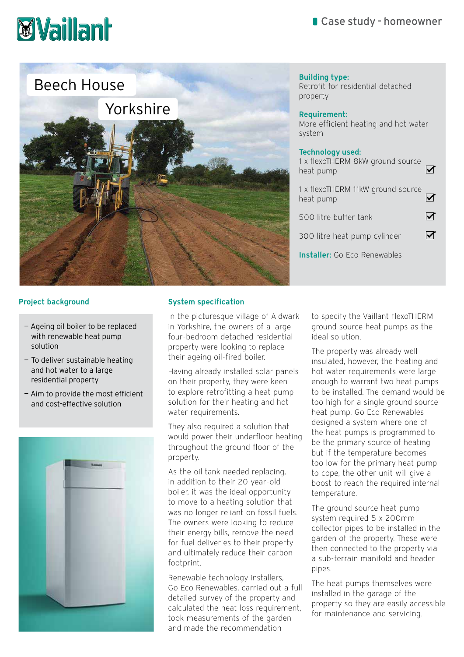# Case study - homeowner

# **Waillanh**



#### Building type: Retrofit for residential detached property

## Requirement:

More efficient heating and hot water system

#### Technology used:

| 1 x flexoTHERM 8kW ground source<br>heat pump  |  |
|------------------------------------------------|--|
| 1 x flexoTHERM 11kW ground source<br>heat pump |  |
| 500 litre buffer tank                          |  |
| 300 litre heat pump cylinder                   |  |
| <b>Installer:</b> Go Eco Renewables            |  |
|                                                |  |

# Project background

- Ageing oil boiler to be replaced with renewable heat pump solution
- To deliver sustainable heating and hot water to a large residential property
- Aim to provide the most efficient and cost-effective solution



#### System specification

In the picturesque village of Aldwark in Yorkshire, the owners of a large four-bedroom detached residential property were looking to replace their ageing oil-fired boiler.

Having already installed solar panels on their property, they were keen to explore retrofitting a heat pump solution for their heating and hot water requirements.

They also required a solution that would power their underfloor heating throughout the ground floor of the property.

As the oil tank needed replacing, in addition to their 20 year-old boiler, it was the ideal opportunity to move to a heating solution that was no longer reliant on fossil fuels. The owners were looking to reduce their energy bills, remove the need for fuel deliveries to their property and ultimately reduce their carbon footprint.

Renewable technology installers, Go Eco Renewables, carried out a full detailed survey of the property and calculated the heat loss requirement, took measurements of the garden and made the recommendation

to specify the Vaillant flexoTHERM ground source heat pumps as the ideal solution.

The property was already well insulated, however, the heating and hot water requirements were large enough to warrant two heat pumps to be installed. The demand would be too high for a single ground source heat pump. Go Eco Renewables designed a system where one of the heat pumps is programmed to be the primary source of heating but if the temperature becomes too low for the primary heat pump to cope, the other unit will give a boost to reach the required internal temperature.

The ground source heat pump system required 5 x 200mm collector pipes to be installed in the garden of the property. These were then connected to the property via a sub-terrain manifold and header pipes.

The heat pumps themselves were installed in the garage of the property so they are easily accessible for maintenance and servicing.